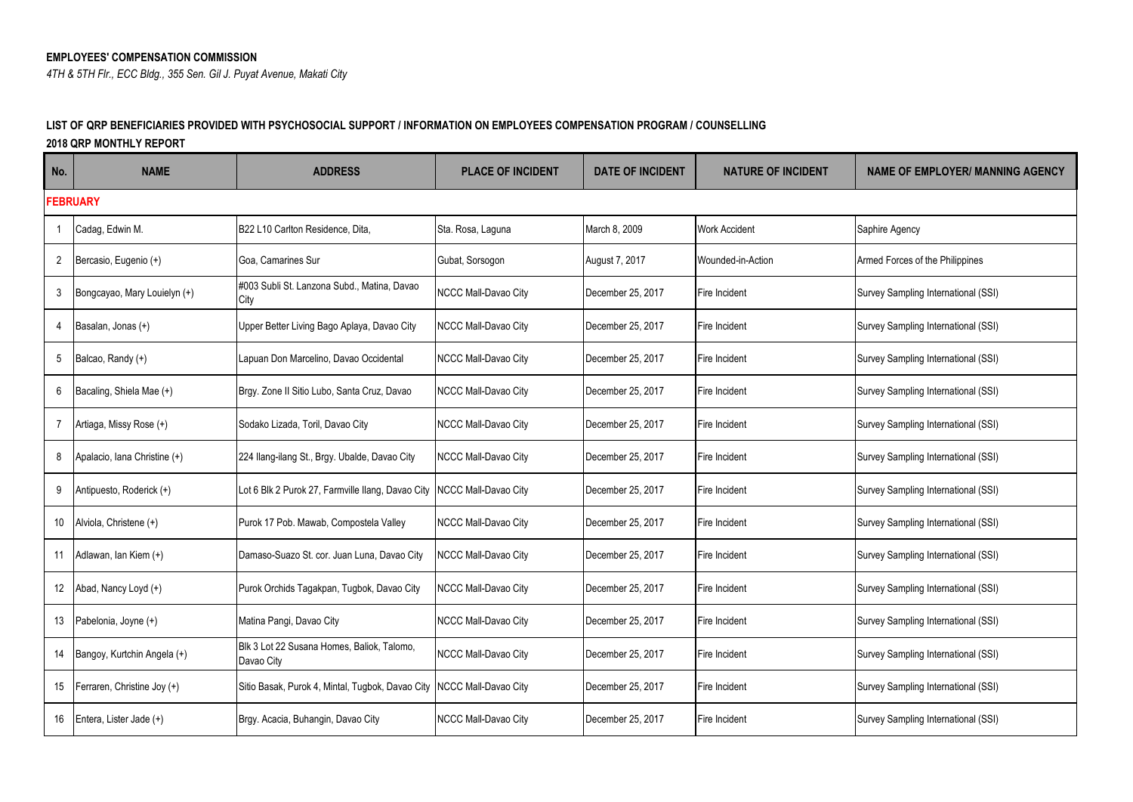## **EMPLOYEES' COMPENSATION COMMISSION**

*4TH & 5TH Flr., ECC Bldg., 355 Sen. Gil J. Puyat Avenue, Makati City*

## **LIST OF QRP BENEFICIARIES PROVIDED WITH PSYCHOSOCIAL SUPPORT / INFORMATION ON EMPLOYEES COMPENSATION PROGRAM / COUNSELLING**

**2018 QRP MONTHLY REPORT**

| No.            | <b>NAME</b>                  | <b>ADDRESS</b>                                                          | <b>PLACE OF INCIDENT</b> | <b>DATE OF INCIDENT</b> | <b>NATURE OF INCIDENT</b> | <b>NAME OF EMPLOYER/ MANNING AGENCY</b> |  |  |  |
|----------------|------------------------------|-------------------------------------------------------------------------|--------------------------|-------------------------|---------------------------|-----------------------------------------|--|--|--|
|                | <b>FEBRUARY</b>              |                                                                         |                          |                         |                           |                                         |  |  |  |
|                | Cadag, Edwin M.              | B22 L10 Carlton Residence, Dita,                                        | Sta. Rosa, Laguna        | March 8, 2009           | <b>Work Accident</b>      | Saphire Agency                          |  |  |  |
| $\overline{2}$ | Bercasio, Eugenio (+)        | Goa, Camarines Sur                                                      | Gubat, Sorsogon          | August 7, 2017          | Wounded-in-Action         | Armed Forces of the Philippines         |  |  |  |
| 3              | Bongcayao, Mary Louielyn (+) | #003 Subli St. Lanzona Subd., Matina, Davao<br>City                     | NCCC Mall-Davao City     | December 25, 2017       | Fire Incident             | Survey Sampling International (SSI)     |  |  |  |
| 4              | Basalan, Jonas (+)           | Upper Better Living Bago Aplaya, Davao City                             | NCCC Mall-Davao City     | December 25, 2017       | Fire Incident             | Survey Sampling International (SSI)     |  |  |  |
| 5              | Balcao, Randy (+)            | Lapuan Don Marcelino, Davao Occidental                                  | NCCC Mall-Davao City     | December 25, 2017       | Fire Incident             | Survey Sampling International (SSI)     |  |  |  |
| 6              | Bacaling, Shiela Mae (+)     | Brgy. Zone II Sitio Lubo, Santa Cruz, Davao                             | NCCC Mall-Davao City     | December 25, 2017       | Fire Incident             | Survey Sampling International (SSI)     |  |  |  |
| $\overline{7}$ | Artiaga, Missy Rose (+)      | Sodako Lizada, Toril, Davao City                                        | NCCC Mall-Davao City     | December 25, 2017       | Fire Incident             | Survey Sampling International (SSI)     |  |  |  |
| 8              | Apalacio, Iana Christine (+) | 224 Ilang-ilang St., Brgy. Ubalde, Davao City                           | NCCC Mall-Davao City     | December 25, 2017       | Fire Incident             | Survey Sampling International (SSI)     |  |  |  |
| 9              | Antipuesto, Roderick (+)     | Lot 6 Blk 2 Purok 27, Farmville Ilang, Davao City NCCC Mall-Davao City  |                          | December 25, 2017       | Fire Incident             | Survey Sampling International (SSI)     |  |  |  |
| 10             | Alviola, Christene (+)       | Purok 17 Pob. Mawab, Compostela Valley                                  | NCCC Mall-Davao City     | December 25, 2017       | Fire Incident             | Survey Sampling International (SSI)     |  |  |  |
| 11             | Adlawan, lan Kiem (+)        | Damaso-Suazo St. cor. Juan Luna, Davao City                             | NCCC Mall-Davao City     | December 25, 2017       | Fire Incident             | Survey Sampling International (SSI)     |  |  |  |
| 12             | Abad, Nancy Loyd (+)         | Purok Orchids Tagakpan, Tugbok, Davao City                              | NCCC Mall-Davao City     | December 25, 2017       | Fire Incident             | Survey Sampling International (SSI)     |  |  |  |
| 13             | Pabelonia, Joyne (+)         | Matina Pangi, Davao City                                                | NCCC Mall-Davao City     | December 25, 2017       | Fire Incident             | Survey Sampling International (SSI)     |  |  |  |
| 14             | Bangoy, Kurtchin Angela (+)  | Blk 3 Lot 22 Susana Homes, Baliok, Talomo,<br>Davao City                | NCCC Mall-Davao City     | December 25, 2017       | Fire Incident             | Survey Sampling International (SSI)     |  |  |  |
| 15             | Ferraren, Christine Joy (+)  | Sitio Basak, Purok 4, Mintal, Tugbok, Davao City   NCCC Mall-Davao City |                          | December 25, 2017       | Fire Incident             | Survey Sampling International (SSI)     |  |  |  |
| 16             | Entera, Lister Jade (+)      | Brgy. Acacia, Buhangin, Davao City                                      | NCCC Mall-Davao City     | December 25, 2017       | Fire Incident             | Survey Sampling International (SSI)     |  |  |  |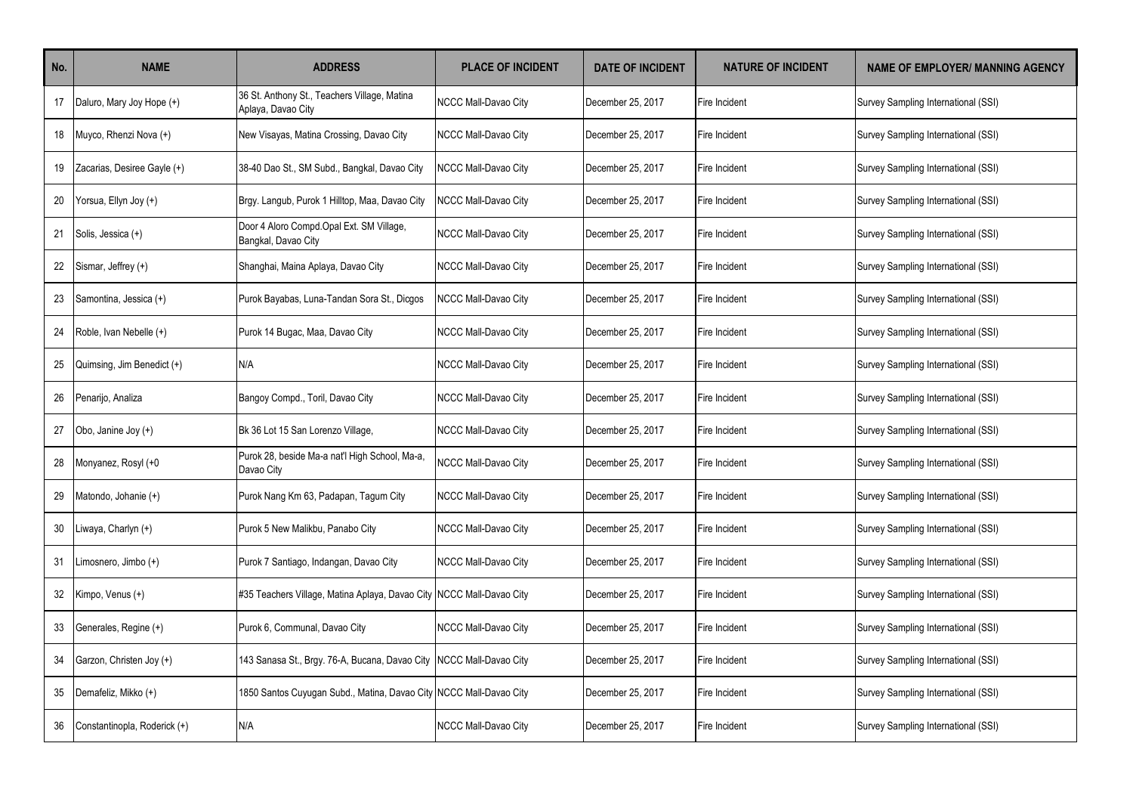| No. | <b>NAME</b>                  | <b>ADDRESS</b>                                                       | <b>PLACE OF INCIDENT</b> | <b>DATE OF INCIDENT</b> | <b>NATURE OF INCIDENT</b> | <b>NAME OF EMPLOYER/ MANNING AGENCY</b> |
|-----|------------------------------|----------------------------------------------------------------------|--------------------------|-------------------------|---------------------------|-----------------------------------------|
| 17  | Daluro, Mary Joy Hope (+)    | 36 St. Anthony St., Teachers Village, Matina<br>Aplaya, Davao City   | NCCC Mall-Davao City     | December 25, 2017       | Fire Incident             | Survey Sampling International (SSI)     |
| 18  | Muyco, Rhenzi Nova (+)       | New Visayas, Matina Crossing, Davao City                             | NCCC Mall-Davao City     | December 25, 2017       | Fire Incident             | Survey Sampling International (SSI)     |
| 19  | Zacarias, Desiree Gayle (+)  | 38-40 Dao St., SM Subd., Bangkal, Davao City                         | NCCC Mall-Davao City     | December 25, 2017       | Fire Incident             | Survey Sampling International (SSI)     |
| 20  | Yorsua, Ellyn Joy (+)        | Brgy. Langub, Purok 1 Hilltop, Maa, Davao City                       | NCCC Mall-Davao City     | December 25, 2017       | Fire Incident             | Survey Sampling International (SSI)     |
| 21  | Solis, Jessica (+)           | Door 4 Aloro Compd Opal Ext. SM Village,<br>Bangkal, Davao City      | NCCC Mall-Davao City     | December 25, 2017       | Fire Incident             | Survey Sampling International (SSI)     |
| 22  | Sismar, Jeffrey (+)          | Shanghai, Maina Aplaya, Davao City                                   | NCCC Mall-Davao City     | December 25, 2017       | Fire Incident             | Survey Sampling International (SSI)     |
| 23  | Samontina, Jessica (+)       | Purok Bayabas, Luna-Tandan Sora St., Dicgos                          | NCCC Mall-Davao City     | December 25, 2017       | Fire Incident             | Survey Sampling International (SSI)     |
| 24  | Roble, Ivan Nebelle (+)      | Purok 14 Bugac, Maa, Davao City                                      | NCCC Mall-Davao City     | December 25, 2017       | Fire Incident             | Survey Sampling International (SSI)     |
| 25  | Quimsing, Jim Benedict (+)   | N/A                                                                  | NCCC Mall-Davao City     | December 25, 2017       | Fire Incident             | Survey Sampling International (SSI)     |
| 26  | Penarijo, Analiza            | Bangoy Compd., Toril, Davao City                                     | NCCC Mall-Davao City     | December 25, 2017       | Fire Incident             | Survey Sampling International (SSI)     |
| 27  | Obo, Janine Joy (+)          | Bk 36 Lot 15 San Lorenzo Village,                                    | NCCC Mall-Davao City     | December 25, 2017       | Fire Incident             | Survey Sampling International (SSI)     |
| 28  | Monyanez, Rosyl (+0          | Purok 28, beside Ma-a nat'l High School, Ma-a,<br>Davao City         | NCCC Mall-Davao City     | December 25, 2017       | Fire Incident             | Survey Sampling International (SSI)     |
| 29  | Matondo, Johanie (+)         | Purok Nang Km 63, Padapan, Tagum City                                | NCCC Mall-Davao City     | December 25, 2017       | Fire Incident             | Survey Sampling International (SSI)     |
| 30  | Liwaya, Charlyn (+)          | Purok 5 New Malikbu, Panabo City                                     | NCCC Mall-Davao City     | December 25, 2017       | Fire Incident             | Survey Sampling International (SSI)     |
| 31  | Limosnero, Jimbo (+)         | Purok 7 Santiago, Indangan, Davao City                               | NCCC Mall-Davao City     | December 25, 2017       | Fire Incident             | Survey Sampling International (SSI)     |
| 32  | Kimpo, Venus (+)             | #35 Teachers Village, Matina Aplaya, Davao City NCCC Mall-Davao City |                          | December 25, 2017       | Fire Incident             | Survey Sampling International (SSI)     |
| 33  | Generales, Regine (+)        | Purok 6, Communal, Davao City                                        | NCCC Mall-Davao City     | December 25, 2017       | Fire Incident             | Survey Sampling International (SSI)     |
| 34  | Garzon, Christen Joy (+)     | 143 Sanasa St., Brgy. 76-A, Bucana, Davao City                       | NCCC Mall-Davao City     | December 25, 2017       | Fire Incident             | Survey Sampling International (SSI)     |
| 35  | Demafeliz, Mikko (+)         | 1850 Santos Cuyugan Subd., Matina, Davao City NCCC Mall-Davao City   |                          | December 25, 2017       | Fire Incident             | Survey Sampling International (SSI)     |
| 36  | Constantinopla, Roderick (+) | N/A                                                                  | NCCC Mall-Davao City     | December 25, 2017       | Fire Incident             | Survey Sampling International (SSI)     |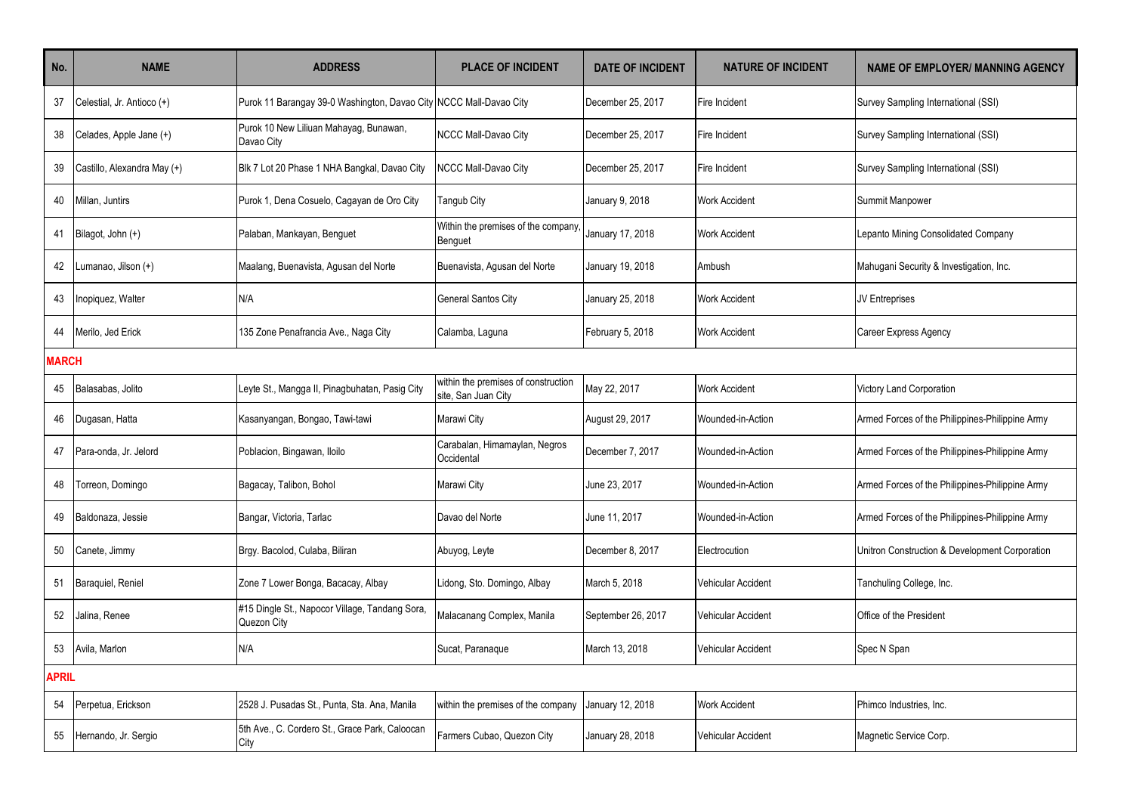| No.          | <b>NAME</b>                 | <b>ADDRESS</b>                                                     | <b>PLACE OF INCIDENT</b>                                   | <b>DATE OF INCIDENT</b> | <b>NATURE OF INCIDENT</b> | <b>NAME OF EMPLOYER/ MANNING AGENCY</b>         |
|--------------|-----------------------------|--------------------------------------------------------------------|------------------------------------------------------------|-------------------------|---------------------------|-------------------------------------------------|
| 37           | Celestial, Jr. Antioco (+)  | Purok 11 Barangay 39-0 Washington, Davao City NCCC Mall-Davao City |                                                            | December 25, 2017       | Fire Incident             | Survey Sampling International (SSI)             |
| 38           | Celades, Apple Jane (+)     | Purok 10 New Liliuan Mahayag, Bunawan,<br>Davao City               | NCCC Mall-Davao City                                       | December 25, 2017       | Fire Incident             | Survey Sampling International (SSI)             |
| 39           | Castillo, Alexandra May (+) | Blk 7 Lot 20 Phase 1 NHA Bangkal, Davao City                       | <b>NCCC Mall-Davao City</b>                                | December 25, 2017       | Fire Incident             | Survey Sampling International (SSI)             |
| 40           | Millan, Juntirs             | Purok 1, Dena Cosuelo, Cagayan de Oro City                         | Tangub City                                                | January 9, 2018         | <b>Work Accident</b>      | Summit Manpower                                 |
| 41           | Bilagot, John (+)           | Palaban, Mankayan, Benguet                                         | Within the premises of the company,<br>Benguet             | January 17, 2018        | <b>Work Accident</b>      | Lepanto Mining Consolidated Company             |
| 42           | Lumanao, Jilson (+)         | Maalang, Buenavista, Agusan del Norte                              | Buenavista, Agusan del Norte                               | January 19, 2018        | Ambush                    | Mahugani Security & Investigation, Inc.         |
| 43           | Inopiquez, Walter           | N/A                                                                | General Santos City                                        | January 25, 2018        | <b>Work Accident</b>      | JV Entreprises                                  |
| 44           | Merilo, Jed Erick           | 135 Zone Penafrancia Ave., Naga City                               | Calamba, Laguna                                            | February 5, 2018        | <b>Work Accident</b>      | Career Express Agency                           |
| <b>MARCH</b> |                             |                                                                    |                                                            |                         |                           |                                                 |
| 45           | Balasabas, Jolito           | Leyte St., Mangga II, Pinagbuhatan, Pasig City                     | within the premises of construction<br>site, San Juan City | May 22, 2017            | <b>Work Accident</b>      | <b>Victory Land Corporation</b>                 |
| 46           | Dugasan, Hatta              | Kasanyangan, Bongao, Tawi-tawi                                     | Marawi City                                                | August 29, 2017         | Wounded-in-Action         | Armed Forces of the Philippines-Philippine Army |
| 47           | Para-onda, Jr. Jelord       | Poblacion, Bingawan, Iloilo                                        | Carabalan, Himamaylan, Negros<br>Occidental                | December 7, 2017        | Wounded-in-Action         | Armed Forces of the Philippines-Philippine Army |
| 48           | Torreon, Domingo            | Bagacay, Talibon, Bohol                                            | Marawi City                                                | June 23, 2017           | Wounded-in-Action         | Armed Forces of the Philippines-Philippine Army |
| 49           | Baldonaza, Jessie           | Bangar, Victoria, Tarlac                                           | Davao del Norte                                            | June 11, 2017           | Wounded-in-Action         | Armed Forces of the Philippines-Philippine Army |
| 50           | Canete, Jimmy               | Brgy. Bacolod, Culaba, Biliran                                     | Abuyog, Leyte                                              | December 8, 2017        | Electrocution             | Unitron Construction & Development Corporation  |
| 51           | Baraquiel, Reniel           | Zone 7 Lower Bonga, Bacacay, Albay                                 | Lidong, Sto. Domingo, Albay                                | March 5, 2018           | Vehicular Accident        | Tanchuling College, Inc.                        |
| 52           | Jalina, Renee               | #15 Dingle St., Napocor Village, Tandang Sora,<br>Quezon City      | Malacanang Complex, Manila                                 | September 26, 2017      | Vehicular Accident        | Office of the President                         |
| 53           | Avila, Marlon               | N/A                                                                | Sucat, Paranaque                                           | March 13, 2018          | <b>Vehicular Accident</b> | Spec N Span                                     |
| <b>APRIL</b> |                             |                                                                    |                                                            |                         |                           |                                                 |
| 54           | Perpetua, Erickson          | 2528 J. Pusadas St., Punta, Sta. Ana, Manila                       | within the premises of the company                         | January 12, 2018        | <b>Work Accident</b>      | Phimco Industries, Inc.                         |
| 55           | Hernando, Jr. Sergio        | 5th Ave., C. Cordero St., Grace Park, Caloocan<br>City             | Farmers Cubao, Quezon City                                 | January 28, 2018        | Vehicular Accident        | Magnetic Service Corp.                          |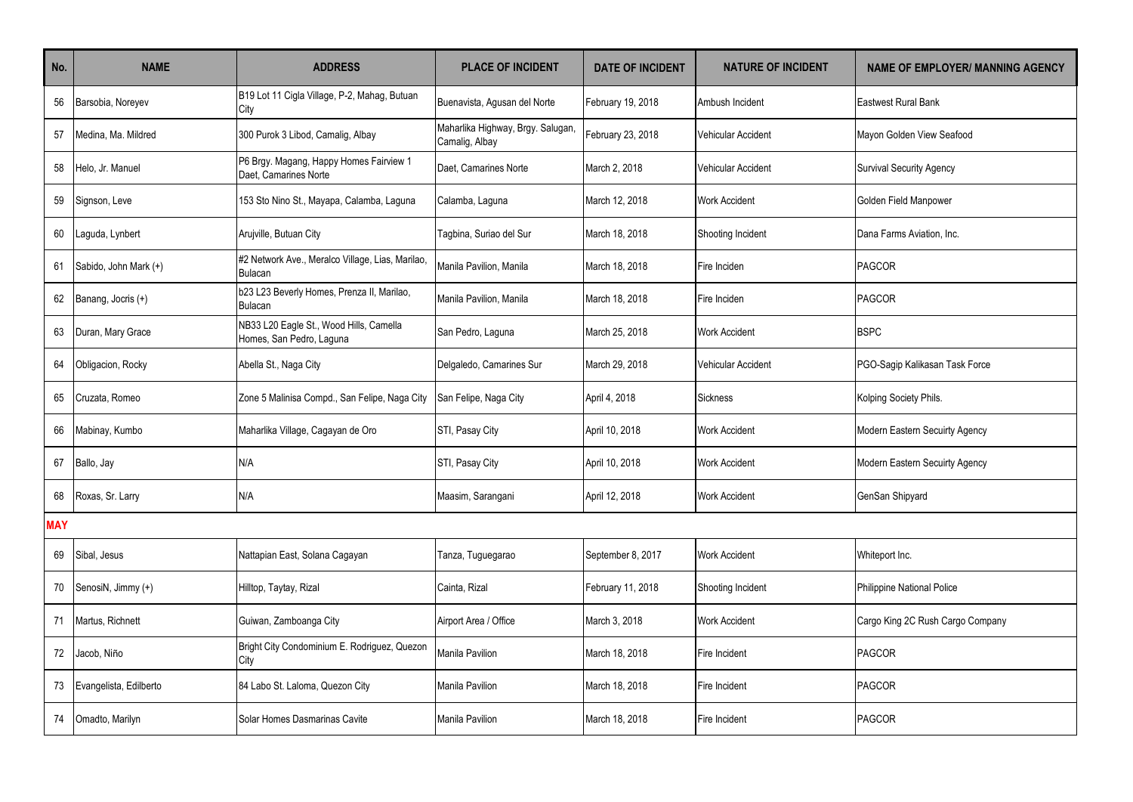| No.        | <b>NAME</b>            | <b>ADDRESS</b>                                                      | <b>PLACE OF INCIDENT</b>                            | <b>DATE OF INCIDENT</b> | <b>NATURE OF INCIDENT</b> | <b>NAME OF EMPLOYER/ MANNING AGENCY</b> |
|------------|------------------------|---------------------------------------------------------------------|-----------------------------------------------------|-------------------------|---------------------------|-----------------------------------------|
| 56         | Barsobia, Noreyev      | B19 Lot 11 Cigla Village, P-2, Mahag, Butuan<br>City                | Buenavista, Agusan del Norte                        | February 19, 2018       | Ambush Incident           | <b>Eastwest Rural Bank</b>              |
| 57         | Medina, Ma. Mildred    | 300 Purok 3 Libod, Camalig, Albay                                   | Maharlika Highway, Brgy. Salugan,<br>Camalig, Albay | February 23, 2018       | Vehicular Accident        | Mayon Golden View Seafood               |
| 58         | Helo, Jr. Manuel       | P6 Brgy. Magang, Happy Homes Fairview 1<br>Daet. Camarines Norte    | Daet. Camarines Norte                               | March 2, 2018           | Vehicular Accident        | Survival Security Agency                |
| 59         | Signson, Leve          | 153 Sto Nino St., Mayapa, Calamba, Laguna                           | Calamba, Laguna                                     | March 12, 2018          | <b>Work Accident</b>      | Golden Field Manpower                   |
| 60         | Laguda, Lynbert        | Arujville, Butuan City                                              | Tagbina, Suriao del Sur                             | March 18, 2018          | Shooting Incident         | Dana Farms Aviation, Inc.               |
| 61         | Sabido, John Mark (+)  | #2 Network Ave., Meralco Village, Lias, Marilao,<br><b>Bulacan</b>  | Manila Pavilion, Manila                             | March 18, 2018          | Fire Inciden              | <b>PAGCOR</b>                           |
| 62         | Banang, Jocris (+)     | b23 L23 Beverly Homes, Prenza II, Marilao,<br><b>Bulacan</b>        | Manila Pavilion, Manila                             | March 18, 2018          | Fire Inciden              | PAGCOR                                  |
| 63         | Duran, Mary Grace      | NB33 L20 Eagle St., Wood Hills, Camella<br>Homes, San Pedro, Laguna | San Pedro, Laguna                                   | March 25, 2018          | <b>Work Accident</b>      | <b>BSPC</b>                             |
| 64         | Obligacion, Rocky      | Abella St., Naga City                                               | Delgaledo, Camarines Sur                            | March 29, 2018          | Vehicular Accident        | PGO-Saqip Kalikasan Task Force          |
| 65         | Cruzata, Romeo         | Zone 5 Malinisa Compd., San Felipe, Naga City                       | San Felipe, Naga City                               | April 4, 2018           | <b>Sickness</b>           | Kolping Society Phils.                  |
| 66         | Mabinay, Kumbo         | Maharlika Village, Cagayan de Oro                                   | STI, Pasay City                                     | April 10, 2018          | <b>Work Accident</b>      | Modern Eastern Secuirty Agency          |
| 67         | Ballo, Jay             | N/A                                                                 | STI, Pasay City                                     | April 10, 2018          | Work Accident             | Modern Eastern Secuirty Agency          |
| 68         | Roxas, Sr. Larry       | N/A                                                                 | Maasim, Sarangani                                   | April 12, 2018          | <b>Work Accident</b>      | GenSan Shipyard                         |
| <b>MAY</b> |                        |                                                                     |                                                     |                         |                           |                                         |
| 69         | Sibal, Jesus           | Nattapian East, Solana Cagayan                                      | Tanza, Tuguegarao                                   | September 8, 2017       | <b>Work Accident</b>      | Whiteport Inc.                          |
| 70         | SenosiN, Jimmy (+)     | Hilltop, Taytay, Rizal                                              | Cainta, Rizal                                       | February 11, 2018       | Shooting Incident         | Philippine National Police              |
| 71         | Martus, Richnett       | Guiwan, Zamboanga City                                              | Airport Area / Office                               | March 3, 2018           | <b>Work Accident</b>      | Cargo King 2C Rush Cargo Company        |
| 72         | Jacob, Niño            | Bright City Condominium E. Rodriguez, Quezon<br>City                | Manila Pavilion                                     | March 18, 2018          | Fire Incident             | <b>PAGCOR</b>                           |
| 73         | Evangelista, Edilberto | 84 Labo St. Laloma, Quezon City                                     | Manila Pavilion                                     | March 18, 2018          | Fire Incident             | <b>PAGCOR</b>                           |
| 74         | Omadto, Marilyn        | Solar Homes Dasmarinas Cavite                                       | Manila Pavilion                                     | March 18, 2018          | Fire Incident             | PAGCOR                                  |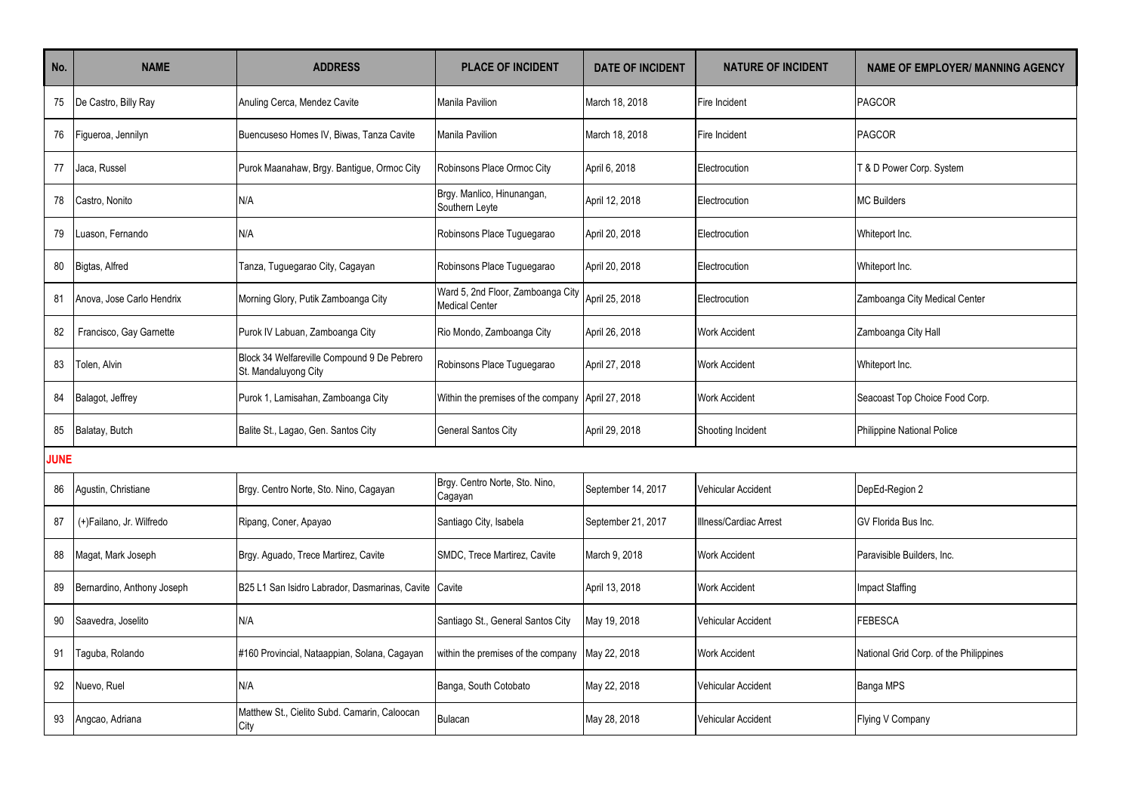| No.         | <b>NAME</b>                | <b>ADDRESS</b>                                                      | <b>PLACE OF INCIDENT</b>                                   | <b>DATE OF INCIDENT</b> | <b>NATURE OF INCIDENT</b> | <b>NAME OF EMPLOYER/ MANNING AGENCY</b> |
|-------------|----------------------------|---------------------------------------------------------------------|------------------------------------------------------------|-------------------------|---------------------------|-----------------------------------------|
| 75          | De Castro, Billy Ray       | Anuling Cerca, Mendez Cavite                                        | <b>Manila Pavilion</b>                                     | March 18, 2018          | Fire Incident             | PAGCOR                                  |
| 76          | Figueroa, Jennilyn         | Buencuseso Homes IV, Biwas, Tanza Cavite                            | Manila Pavilion                                            | March 18, 2018          | Fire Incident             | <b>PAGCOR</b>                           |
| 77          | Jaca, Russel               | Purok Maanahaw, Brgy. Bantigue, Ormoc City                          | Robinsons Place Ormoc City                                 | April 6, 2018           | Electrocution             | T & D Power Corp. System                |
| 78          | Castro, Nonito             | N/A                                                                 | Brgy. Manlico, Hinunangan,<br>Southern Leyte               | April 12, 2018          | Electrocution             | <b>MC Builders</b>                      |
| 79          | uason, Fernando            | N/A                                                                 | Robinsons Place Tuguegarao                                 | April 20, 2018          | Electrocution             | Whiteport Inc.                          |
| 80          | Bigtas, Alfred             | Tanza, Tuguegarao City, Cagayan                                     | Robinsons Place Tuguegarao                                 | April 20, 2018          | Electrocution             | Whiteport Inc.                          |
| 81          | Anova, Jose Carlo Hendrix  | Morning Glory, Putik Zamboanga City                                 | Ward 5, 2nd Floor, Zamboanga City<br><b>Medical Center</b> | April 25, 2018          | Electrocution             | Zamboanga City Medical Center           |
| 82          | Francisco, Gay Garnette    | Purok IV Labuan, Zamboanga City                                     | Rio Mondo, Zamboanga City                                  | April 26, 2018          | <b>Work Accident</b>      | Zamboanga City Hall                     |
| 83          | Tolen, Alvin               | Block 34 Welfareville Compound 9 De Pebrero<br>St. Mandaluyong City | Robinsons Place Tuguegarao                                 | April 27, 2018          | <b>Work Accident</b>      | Whiteport Inc.                          |
| 84          | Balagot, Jeffrey           | Purok 1, Lamisahan, Zamboanga City                                  | Within the premises of the company April 27, 2018          |                         | <b>Work Accident</b>      | Seacoast Top Choice Food Corp.          |
| 85          | Balatay, Butch             | Balite St., Lagao, Gen. Santos City                                 | <b>General Santos City</b>                                 | April 29, 2018          | Shooting Incident         | Philippine National Police              |
| <b>JUNE</b> |                            |                                                                     |                                                            |                         |                           |                                         |
| 86          | Agustin, Christiane        | Brgy. Centro Norte, Sto. Nino, Cagayan                              | Brgy. Centro Norte, Sto. Nino,<br>Cagayan                  | September 14, 2017      | <b>Vehicular Accident</b> | DepEd-Region 2                          |
| 87          | (+)Failano, Jr. Wilfredo   | Ripang, Coner, Apayao                                               | Santiago City, Isabela                                     | September 21, 2017      | Illness/Cardiac Arrest    | GV Florida Bus Inc.                     |
| 88          | Magat, Mark Joseph         | Brgy. Aguado, Trece Martirez, Cavite                                | SMDC, Trece Martirez, Cavite                               | March 9, 2018           | <b>Work Accident</b>      | Paravisible Builders, Inc.              |
| 89          | Bernardino, Anthony Joseph | B25 L1 San Isidro Labrador, Dasmarinas, Cavite Cavite               |                                                            | April 13, 2018          | <b>Work Accident</b>      | <b>Impact Staffing</b>                  |
| 90          | Saavedra, Joselito         | N/A                                                                 | Santiago St., General Santos City                          | May 19, 2018            | <b>Vehicular Accident</b> | <b>FEBESCA</b>                          |
| 91          | Taguba, Rolando            | #160 Provincial, Nataappian, Solana, Cagayan                        | within the premises of the company                         | May 22, 2018            | <b>Work Accident</b>      | National Grid Corp. of the Philippines  |
| 92          | Nuevo, Ruel                | N/A                                                                 | Banga, South Cotobato                                      | May 22, 2018            | Vehicular Accident        | Banga MPS                               |
| 93          | Angcao, Adriana            | Matthew St., Cielito Subd. Camarin, Caloocan<br>City                | <b>Bulacan</b>                                             | May 28, 2018            | <b>Vehicular Accident</b> | Flying V Company                        |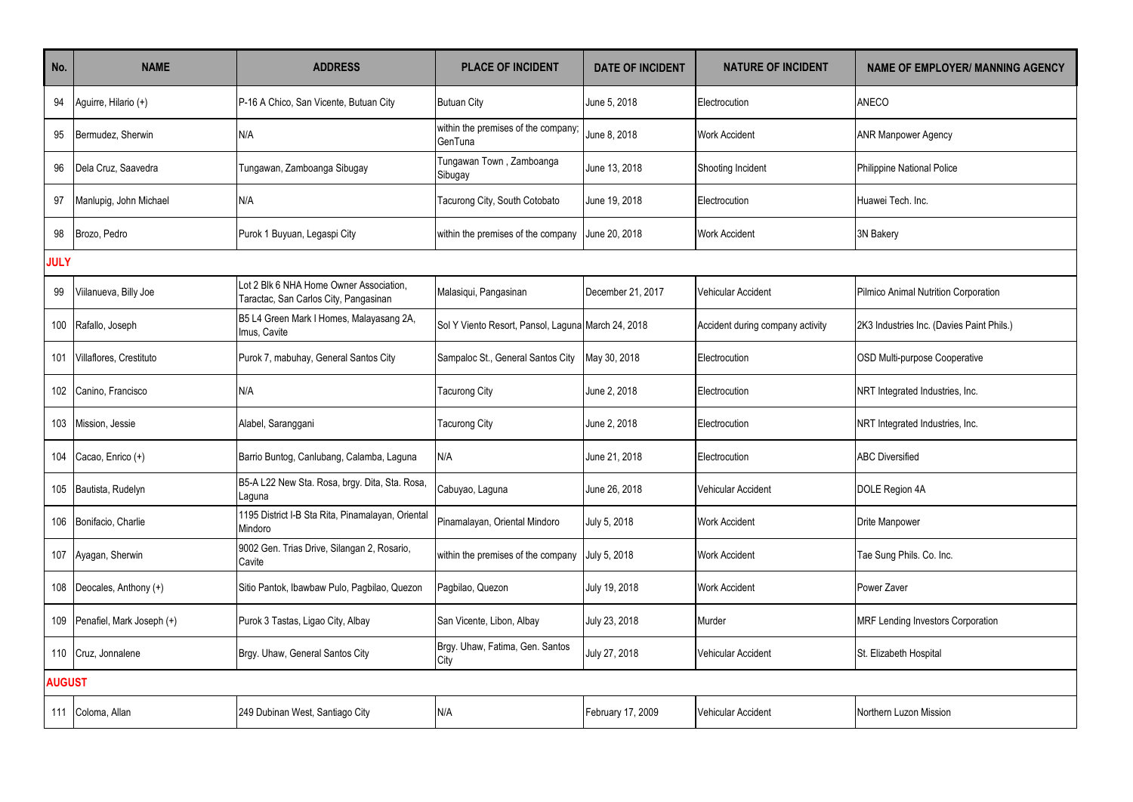| No.           | <b>NAME</b>                   | <b>ADDRESS</b>                                                                   | <b>PLACE OF INCIDENT</b>                           | <b>DATE OF INCIDENT</b> | <b>NATURE OF INCIDENT</b>        | <b>NAME OF EMPLOYER/ MANNING AGENCY</b>   |
|---------------|-------------------------------|----------------------------------------------------------------------------------|----------------------------------------------------|-------------------------|----------------------------------|-------------------------------------------|
| 94            | Aguirre, Hilario (+)          | P-16 A Chico, San Vicente, Butuan City                                           | <b>Butuan City</b>                                 | June 5, 2018            | Electrocution                    | ANECO                                     |
| 95            | Bermudez, Sherwin             | N/A                                                                              | within the premises of the company;<br>GenTuna     | June 8, 2018            | <b>Work Accident</b>             | <b>ANR Manpower Agency</b>                |
| 96            | Dela Cruz, Saavedra           | Tungawan, Zamboanga Sibugay                                                      | Tungawan Town, Zamboanga<br>Sibugay                | June 13, 2018           | Shooting Incident                | <b>Philippine National Police</b>         |
| 97            | Manlupig, John Michael        | N/A                                                                              | Tacurong City, South Cotobato                      | June 19, 2018           | Electrocution                    | Huawei Tech. Inc.                         |
| 98            | Brozo, Pedro                  | Purok 1 Buyuan, Legaspi City                                                     | within the premises of the company                 | June 20, 2018           | <b>Work Accident</b>             | 3N Bakery                                 |
| <b>JULY</b>   |                               |                                                                                  |                                                    |                         |                                  |                                           |
| 99            | Viilanueva, Billy Joe         | Lot 2 Blk 6 NHA Home Owner Association,<br>Taractac, San Carlos City, Pangasinan | Malasiqui, Pangasinan                              | December 21, 2017       | Vehicular Accident               | Pilmico Animal Nutrition Corporation      |
| 100           | Rafallo, Joseph               | B5 L4 Green Mark I Homes, Malayasang 2A,<br>Imus, Cavite                         | Sol Y Viento Resort, Pansol, Laguna March 24, 2018 |                         | Accident during company activity | 2K3 Industries Inc. (Davies Paint Phils.) |
| 101           | Villaflores, Crestituto       | Purok 7, mabuhay, General Santos City                                            | Sampaloc St., General Santos City                  | May 30, 2018            | Electrocution                    | OSD Multi-purpose Cooperative             |
| 102           | Canino, Francisco             | N/A                                                                              | <b>Tacurong City</b>                               | June 2, 2018            | Electrocution                    | NRT Integrated Industries, Inc.           |
| 103           | Mission, Jessie               | Alabel, Saranggani                                                               | Tacurong City                                      | June 2, 2018            | Electrocution                    | NRT Integrated Industries, Inc.           |
|               | 104 Cacao, Enrico (+)         | Barrio Buntog, Canlubang, Calamba, Laguna                                        | N/A                                                | June 21, 2018           | Electrocution                    | <b>ABC Diversified</b>                    |
| 105           | Bautista, Rudelyn             | B5-A L22 New Sta. Rosa, brgy. Dita, Sta. Rosa,<br>Laguna                         | Cabuyao, Laguna                                    | June 26, 2018           | Vehicular Accident               | DOLE Region 4A                            |
|               | 106 Bonifacio, Charlie        | 1195 District I-B Sta Rita, Pinamalayan, Oriental<br>Mindoro                     | Pinamalayan, Oriental Mindoro                      | July 5, 2018            | <b>Work Accident</b>             | Drite Manpower                            |
| 107           | Ayagan, Sherwin               | 9002 Gen. Trias Drive, Silangan 2, Rosario,<br>Cavite                            | within the premises of the company                 | July 5, 2018            | <b>Work Accident</b>             | Tae Sung Phils. Co. Inc.                  |
|               | 108 Deocales, Anthony (+)     | Sitio Pantok, Ibawbaw Pulo, Pagbilao, Quezon                                     | Pagbilao, Quezon                                   | July 19, 2018           | <b>Work Accident</b>             | Power Zaver                               |
|               | 109 Penafiel, Mark Joseph (+) | Purok 3 Tastas, Ligao City, Albay                                                | San Vicente, Libon, Albay                          | July 23, 2018           | Murder                           | <b>MRF Lending Investors Corporation</b>  |
|               | 110 Cruz, Jonnalene           | Brgy. Uhaw, General Santos City                                                  | Brgy. Uhaw, Fatima, Gen. Santos<br>City            | July 27, 2018           | Vehicular Accident               | St. Elizabeth Hospital                    |
| <b>AUGUST</b> |                               |                                                                                  |                                                    |                         |                                  |                                           |
|               | 111 Coloma, Allan             | 249 Dubinan West, Santiago City                                                  | N/A                                                | February 17, 2009       | Vehicular Accident               | Northern Luzon Mission                    |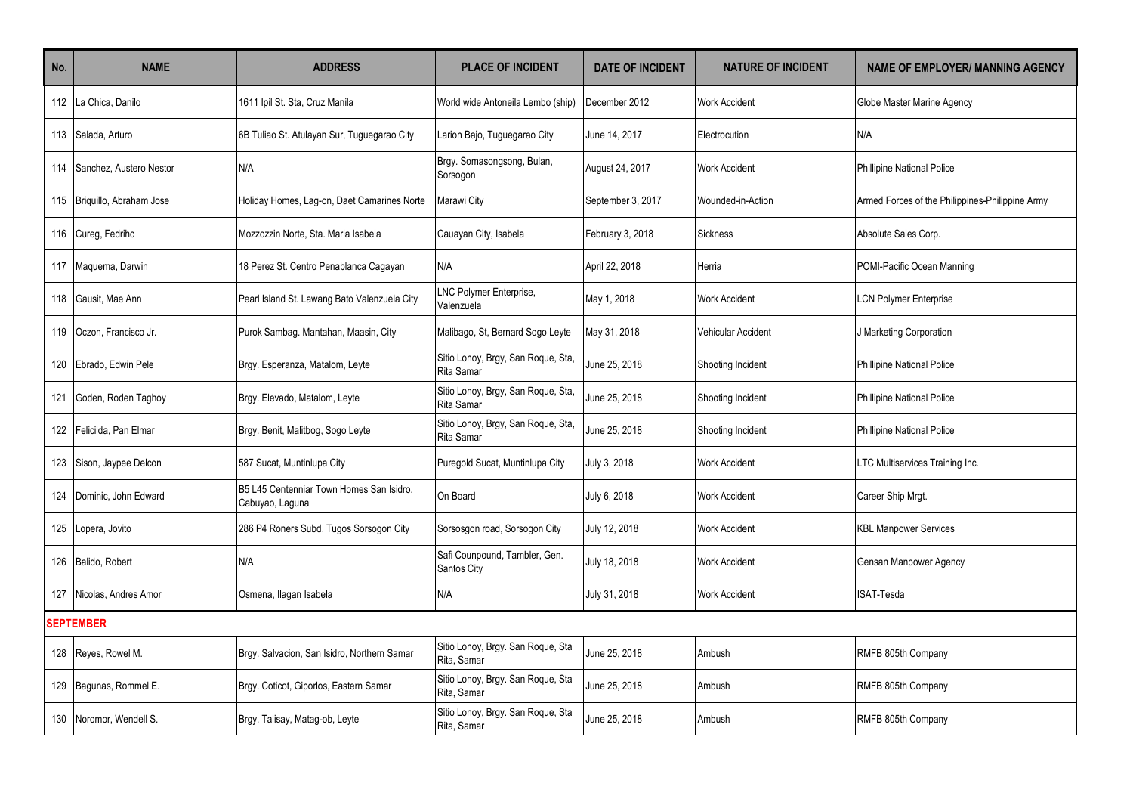| No.   | <b>NAME</b>                 | <b>ADDRESS</b>                                              | <b>PLACE OF INCIDENT</b>                                | <b>DATE OF INCIDENT</b> | <b>NATURE OF INCIDENT</b> | <b>NAME OF EMPLOYER/ MANNING AGENCY</b>         |
|-------|-----------------------------|-------------------------------------------------------------|---------------------------------------------------------|-------------------------|---------------------------|-------------------------------------------------|
| 112   | La Chica, Danilo            | 1611 Ipil St. Sta, Cruz Manila                              | World wide Antoneila Lembo (ship)                       | December 2012           | <b>Work Accident</b>      | Globe Master Marine Agency                      |
| 113   | Salada, Arturo              | 6B Tuliao St. Atulayan Sur, Tuguegarao City                 | Larion Bajo, Tuguegarao City                            | June 14, 2017           | Electrocution             | N/A                                             |
| 114   | Sanchez, Austero Nestor     | N/A                                                         | Brgy. Somasongsong, Bulan,<br>Sorsogon                  | August 24, 2017         | <b>Work Accident</b>      | <b>Phillipine National Police</b>               |
|       | 115 Briguillo, Abraham Jose | Holiday Homes, Lag-on, Daet Camarines Norte                 | Marawi City                                             | September 3, 2017       | Wounded-in-Action         | Armed Forces of the Philippines-Philippine Army |
|       | 116 Cureg, Fedrihc          | Mozzozzin Norte, Sta. Maria Isabela                         | Cauayan City, Isabela                                   | February 3, 2018        | Sickness                  | Absolute Sales Corp.                            |
|       | 117 Maquema, Darwin         | 18 Perez St. Centro Penablanca Cagayan                      | N/A                                                     | April 22, 2018          | Herria                    | POMI-Pacific Ocean Manning                      |
| 118   | Gausit, Mae Ann             | Pearl Island St. Lawang Bato Valenzuela City                | LNC Polymer Enterprise,<br>Valenzuela                   | May 1, 2018             | <b>Work Accident</b>      | <b>LCN Polymer Enterprise</b>                   |
| 119   | Oczon. Francisco Jr.        | Purok Sambag. Mantahan, Maasin, City                        | Malibago, St, Bernard Sogo Leyte                        | May 31, 2018            | Vehicular Accident        | J Marketing Corporation                         |
| 120   | Ebrado, Edwin Pele          | Brgy. Esperanza, Matalom, Leyte                             | Sitio Lonoy, Brgy, San Roque, Sta,<br><b>Rita Samar</b> | June 25, 2018           | Shooting Incident         | <b>Phillipine National Police</b>               |
| 121   | Goden, Roden Taghoy         | Brgy. Elevado, Matalom, Leyte                               | Sitio Lonoy, Brgy, San Roque, Sta,<br>Rita Samar        | June 25, 2018           | Shooting Incident         | <b>Phillipine National Police</b>               |
| 122 l | Felicilda, Pan Elmar        | Brgy. Benit, Malitbog, Sogo Leyte                           | Sitio Lonoy, Brgy, San Roque, Sta,<br><b>Rita Samar</b> | June 25, 2018           | Shooting Incident         | <b>Phillipine National Police</b>               |
|       | 123 Sison, Jaypee Delcon    | 587 Sucat, Muntinlupa City                                  | Puregold Sucat, Muntinlupa City                         | July 3, 2018            | <b>Work Accident</b>      | LTC Multiservices Training Inc.                 |
| 124   | Dominic, John Edward        | B5 L45 Centenniar Town Homes San Isidro,<br>Cabuyao, Laguna | On Board                                                | July 6, 2018            | <b>Work Accident</b>      | Career Ship Mrqt.                               |
| 125   | Lopera, Jovito              | 286 P4 Roners Subd. Tugos Sorsogon City                     | Sorsosgon road, Sorsogon City                           | July 12, 2018           | <b>Work Accident</b>      | <b>KBL Manpower Services</b>                    |
|       | 126 Balido, Robert          | N/A                                                         | Safi Counpound, Tambler, Gen.<br>Santos City            | July 18, 2018           | <b>Work Accident</b>      | Gensan Manpower Agency                          |
| 127   | Nicolas, Andres Amor        | Osmena, Ilagan Isabela                                      | N/A                                                     | July 31, 2018           | Work Accident             | ISAT-Tesda                                      |
|       | <b>SEPTEMBER</b>            |                                                             |                                                         |                         |                           |                                                 |
|       | 128 Reyes, Rowel M.         | Brgy. Salvacion, San Isidro, Northern Samar                 | Sitio Lonoy, Brgy. San Roque, Sta<br>Rita, Samar        | June 25, 2018           | Ambush                    | RMFB 805th Company                              |
|       | 129 Bagunas, Rommel E.      | Brgy. Coticot, Giporlos, Eastern Samar                      | Sitio Lonoy, Brgy. San Roque, Sta<br>Rita, Samar        | June 25, 2018           | Ambush                    | RMFB 805th Company                              |
|       | 130 Noromor, Wendell S.     | Brgy. Talisay, Matag-ob, Leyte                              | Sitio Lonoy, Brgy. San Roque, Sta<br>Rita, Samar        | June 25, 2018           | Ambush                    | RMFB 805th Company                              |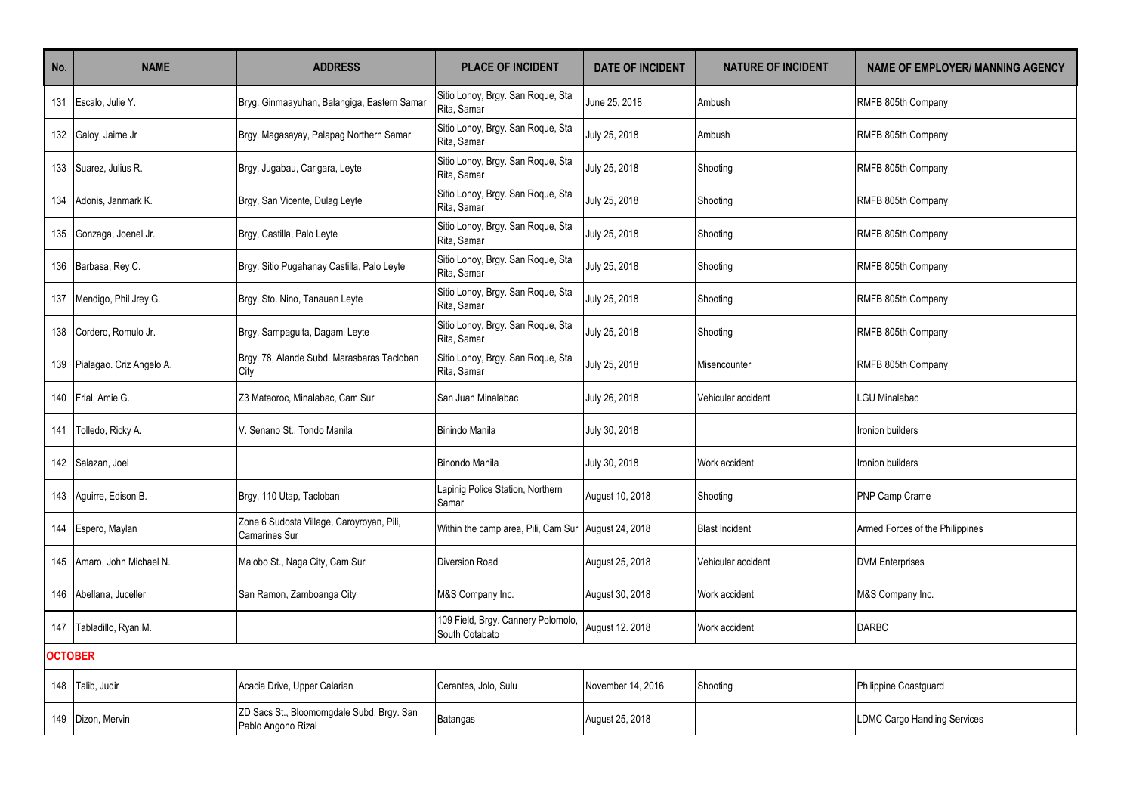| No.            | <b>NAME</b>                  | <b>ADDRESS</b>                                                    | <b>PLACE OF INCIDENT</b>                             | <b>DATE OF INCIDENT</b> | <b>NATURE OF INCIDENT</b> | <b>NAME OF EMPLOYER/ MANNING AGENCY</b> |
|----------------|------------------------------|-------------------------------------------------------------------|------------------------------------------------------|-------------------------|---------------------------|-----------------------------------------|
| 131            | Escalo, Julie Y.             | Bryg. Ginmaayuhan, Balangiga, Eastern Samar                       | Sitio Lonoy, Brgy. San Roque, Sta<br>Rita, Samar     | June 25, 2018           | Ambush                    | RMFB 805th Company                      |
|                | 132 Galoy, Jaime Jr          | Brgy. Magasayay, Palapag Northern Samar                           | Sitio Lonoy, Brgy. San Roque, Sta<br>Rita, Samar     | July 25, 2018           | Ambush                    | RMFB 805th Company                      |
|                | 133 Suarez, Julius R.        | Brgy. Jugabau, Carigara, Leyte                                    | Sitio Lonoy, Brgy. San Roque, Sta<br>Rita, Samar     | July 25, 2018           | Shooting                  | RMFB 805th Company                      |
|                | 134 Adonis, Janmark K.       | Brgy, San Vicente, Dulag Leyte                                    | Sitio Lonoy, Brgy. San Roque, Sta<br>Rita, Samar     | July 25, 2018           | Shooting                  | RMFB 805th Company                      |
|                | 135 Gonzaga, Joenel Jr.      | Brgy, Castilla, Palo Leyte                                        | Sitio Lonoy, Brgy. San Roque, Sta<br>Rita, Samar     | July 25, 2018           | Shooting                  | RMFB 805th Company                      |
|                | 136 Barbasa, Rey C.          | Brgy. Sitio Pugahanay Castilla, Palo Leyte                        | Sitio Lonoy, Brgy. San Roque, Sta<br>Rita, Samar     | July 25, 2018           | Shooting                  | RMFB 805th Company                      |
| 137            | Mendigo, Phil Jrey G.        | Brgy. Sto. Nino, Tanauan Leyte                                    | Sitio Lonoy, Brgy. San Roque, Sta<br>Rita, Samar     | July 25, 2018           | Shooting                  | RMFB 805th Company                      |
| 138            | Cordero, Romulo Jr.          | Brgy. Sampaguita, Dagami Leyte                                    | Sitio Lonoy, Brgy. San Roque, Sta<br>Rita, Samar     | July 25, 2018           | Shooting                  | RMFB 805th Company                      |
|                | 139 Pialagao. Criz Angelo A. | Brgy. 78, Alande Subd. Marasbaras Tacloban<br>City                | Sitio Lonoy, Brgy. San Roque, Sta<br>Rita, Samar     | July 25, 2018           | Misencounter              | RMFB 805th Company                      |
|                | 140 Frial, Amie G.           | Z3 Mataoroc, Minalabac, Cam Sur                                   | San Juan Minalabac                                   | July 26, 2018           | Vehicular accident        | <b>LGU Minalabac</b>                    |
| 141            | Tolledo, Ricky A.            | V. Senano St., Tondo Manila                                       | <b>Binindo Manila</b>                                | July 30, 2018           |                           | Ironion builders                        |
| 142            | Salazan, Joel                |                                                                   | Binondo Manila                                       | July 30, 2018           | Work accident             | Ironion builders                        |
|                | 143 Aguirre, Edison B.       | Brgy. 110 Utap, Tacloban                                          | Lapinig Police Station, Northern<br>Samar            | August 10, 2018         | Shooting                  | PNP Camp Crame                          |
| 144            | Espero, Maylan               | Zone 6 Sudosta Village, Caroyroyan, Pili,<br><b>Camarines Sur</b> | Within the camp area, Pili, Cam Sur                  | August 24, 2018         | <b>Blast Incident</b>     | Armed Forces of the Philippines         |
|                | 145 Amaro, John Michael N.   | Malobo St., Naga City, Cam Sur                                    | <b>Diversion Road</b>                                | August 25, 2018         | Vehicular accident        | <b>DVM Enterprises</b>                  |
|                | 146 Abellana, Juceller       | San Ramon, Zamboanga City                                         | M&S Company Inc.                                     | August 30, 2018         | Work accident             | M&S Company Inc.                        |
|                | 147 Tabladillo, Ryan M.      |                                                                   | 109 Field, Brgy. Cannery Polomolo,<br>South Cotabato | August 12. 2018         | Work accident             | <b>DARBC</b>                            |
| <b>OCTOBER</b> |                              |                                                                   |                                                      |                         |                           |                                         |
| 148            | Talib, Judir                 | Acacia Drive, Upper Calarian                                      | Cerantes, Jolo, Sulu                                 | November 14, 2016       | Shooting                  | Philippine Coastguard                   |
|                | 149   Dizon, Mervin          | ZD Sacs St., Bloomomgdale Subd. Brgy. San<br>Pablo Angono Rizal   | <b>Batangas</b>                                      | August 25, 2018         |                           | <b>LDMC Cargo Handling Services</b>     |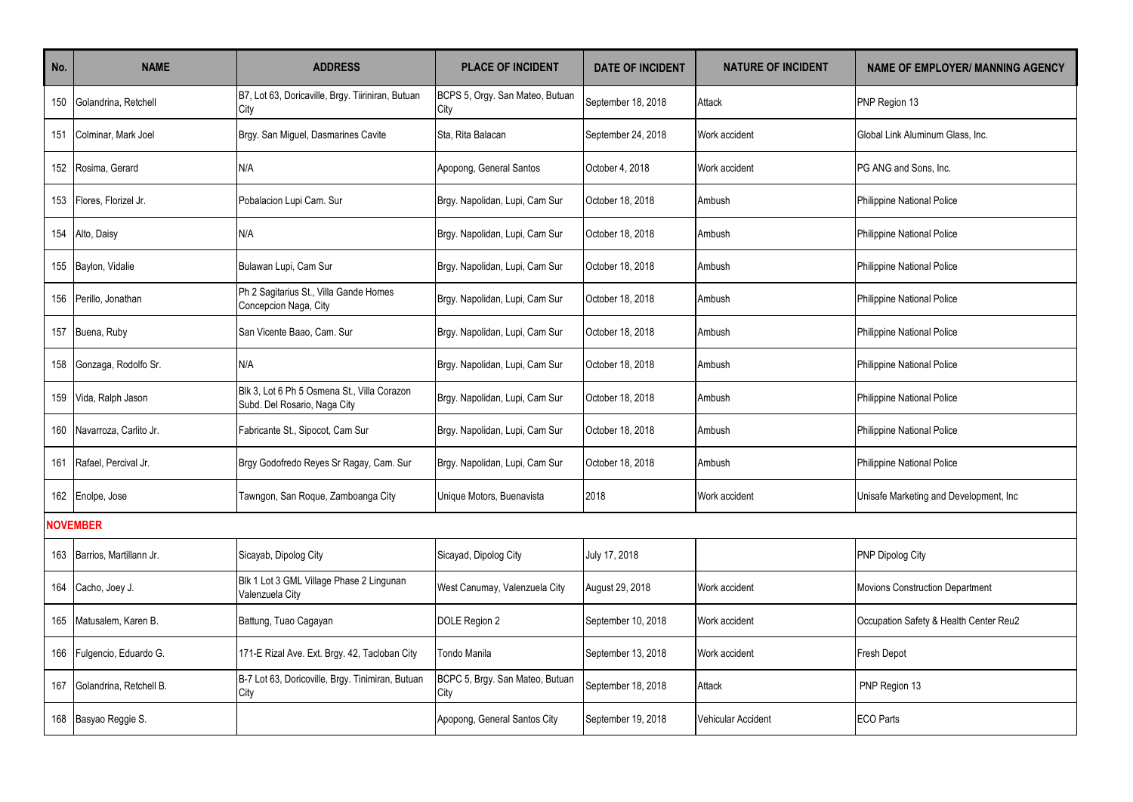| No. | <b>NAME</b>                 | <b>ADDRESS</b>                                                              | <b>PLACE OF INCIDENT</b>                | <b>DATE OF INCIDENT</b> | <b>NATURE OF INCIDENT</b> | <b>NAME OF EMPLOYER/ MANNING AGENCY</b> |
|-----|-----------------------------|-----------------------------------------------------------------------------|-----------------------------------------|-------------------------|---------------------------|-----------------------------------------|
| 150 | Golandrina, Retchell        | B7, Lot 63, Doricaville, Brgy. Tiiriniran, Butuan<br>City                   | BCPS 5, Orgy. San Mateo, Butuan<br>City | September 18, 2018      | Attack                    | PNP Region 13                           |
| 151 | Colminar, Mark Joel         | Brgy. San Miguel, Dasmarines Cavite                                         | Sta, Rita Balacan                       | September 24, 2018      | Work accident             | Global Link Aluminum Glass, Inc.        |
|     | 152 Rosima, Gerard          | N/A                                                                         | Apopong, General Santos                 | October 4, 2018         | Work accident             | PG ANG and Sons. Inc.                   |
| 153 | Flores, Florizel Jr.        | Pobalacion Lupi Cam. Sur                                                    | Brgy. Napolidan, Lupi, Cam Sur          | October 18, 2018        | Ambush                    | Philippine National Police              |
|     | 154 Alto, Daisy             | N/A                                                                         | Brgy. Napolidan, Lupi, Cam Sur          | October 18, 2018        | Ambush                    | Philippine National Police              |
|     | 155 Baylon, Vidalie         | Bulawan Lupi, Cam Sur                                                       | Brgy. Napolidan, Lupi, Cam Sur          | October 18, 2018        | Ambush                    | <b>Philippine National Police</b>       |
| 156 | Perillo, Jonathan           | Ph 2 Sagitarius St., Villa Gande Homes<br>Concepcion Naga, City             | Brgy. Napolidan, Lupi, Cam Sur          | October 18, 2018        | Ambush                    | Philippine National Police              |
|     | 157 Buena, Ruby             | San Vicente Baao, Cam. Sur                                                  | Brgy. Napolidan, Lupi, Cam Sur          | October 18, 2018        | Ambush                    | Philippine National Police              |
| 158 | Gonzaga, Rodolfo Sr.        | N/A                                                                         | Brgy. Napolidan, Lupi, Cam Sur          | October 18, 2018        | Ambush                    | Philippine National Police              |
|     | 159 Vida, Ralph Jason       | Blk 3, Lot 6 Ph 5 Osmena St., Villa Corazon<br>Subd. Del Rosario, Naga City | Brgy. Napolidan, Lupi, Cam Sur          | October 18, 2018        | Ambush                    | Philippine National Police              |
|     | 160 Navarroza, Carlito Jr.  | Fabricante St., Sipocot, Cam Sur                                            | Brgy. Napolidan, Lupi, Cam Sur          | October 18, 2018        | Ambush                    | Philippine National Police              |
| 161 | Rafael, Percival Jr.        | Brgy Godofredo Reyes Sr Ragay, Cam. Sur                                     | Brgy. Napolidan, Lupi, Cam Sur          | October 18, 2018        | Ambush                    | Philippine National Police              |
|     | 162 Enolpe, Jose            | Tawngon, San Roque, Zamboanga City                                          | Unique Motors, Buenavista               | 2018                    | Work accident             | Unisafe Marketing and Development, Inc. |
|     | <b>NOVEMBER</b>             |                                                                             |                                         |                         |                           |                                         |
|     | 163 Barrios, Martillann Jr. | Sicayab, Dipolog City                                                       | Sicayad, Dipolog City                   | July 17, 2018           |                           | PNP Dipolog City                        |
|     | 164 Cacho, Joey J.          | Blk 1 Lot 3 GML Village Phase 2 Lingunan<br>Valenzuela City                 | West Canumay, Valenzuela City           | August 29, 2018         | Work accident             | Movions Construction Department         |
| 165 | Matusalem, Karen B.         | Battung, Tuao Cagayan                                                       | DOLE Region 2                           | September 10, 2018      | Work accident             | Occupation Safety & Health Center Reu2  |
| 166 | Fulgencio, Eduardo G.       | 171-E Rizal Ave. Ext. Brgy. 42, Tacloban City                               | Tondo Manila                            | September 13, 2018      | Work accident             | Fresh Depot                             |
| 167 | Golandrina, Retchell B.     | B-7 Lot 63, Doricoville, Brgy. Tinimiran, Butuan<br>City                    | BCPC 5, Brgy. San Mateo, Butuan<br>City | September 18, 2018      | Attack                    | PNP Region 13                           |
|     | 168 Basyao Reggie S.        |                                                                             | Apopong, General Santos City            | September 19, 2018      | <b>Vehicular Accident</b> | <b>ECO Parts</b>                        |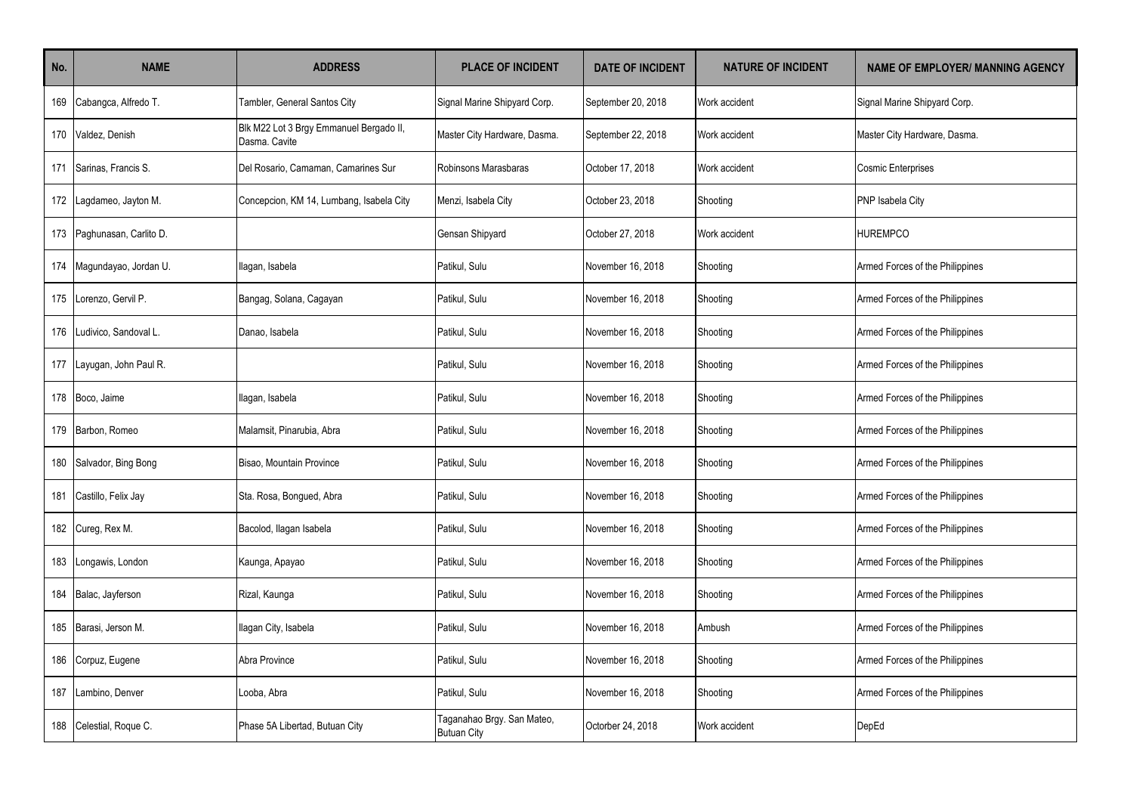| No. | <b>NAME</b>            | <b>ADDRESS</b>                                           | <b>PLACE OF INCIDENT</b>                         | <b>DATE OF INCIDENT</b> | <b>NATURE OF INCIDENT</b> | <b>NAME OF EMPLOYER/ MANNING AGENCY</b> |
|-----|------------------------|----------------------------------------------------------|--------------------------------------------------|-------------------------|---------------------------|-----------------------------------------|
| 169 | Cabangca, Alfredo T.   | Tambler, General Santos City                             | Signal Marine Shipyard Corp.                     | September 20, 2018      | Work accident             | Signal Marine Shipyard Corp.            |
| 170 | Valdez, Denish         | Blk M22 Lot 3 Brgy Emmanuel Bergado II,<br>Dasma, Cavite | Master City Hardware, Dasma.                     | September 22, 2018      | Work accident             | Master City Hardware, Dasma.            |
| 171 | Sarinas, Francis S.    | Del Rosario, Camaman, Camarines Sur                      | Robinsons Marasbaras                             | October 17, 2018        | Work accident             | <b>Cosmic Enterprises</b>               |
| 172 | Lagdameo, Jayton M.    | Concepcion, KM 14, Lumbang, Isabela City                 | Menzi, Isabela City                              | October 23, 2018        | Shooting                  | PNP Isabela City                        |
| 173 | Paghunasan, Carlito D. |                                                          | Gensan Shipyard                                  | October 27, 2018        | Work accident             | <b>HUREMPCO</b>                         |
| 174 | Magundayao, Jordan U.  | llagan, Isabela                                          | Patikul, Sulu                                    | November 16, 2018       | Shooting                  | Armed Forces of the Philippines         |
| 175 | Lorenzo, Gervil P.     | Bangag, Solana, Cagayan                                  | Patikul, Sulu                                    | November 16, 2018       | Shooting                  | Armed Forces of the Philippines         |
| 176 | Ludivico, Sandoval L.  | Danao, Isabela                                           | Patikul, Sulu                                    | November 16, 2018       | Shooting                  | Armed Forces of the Philippines         |
| 177 | Layugan, John Paul R.  |                                                          | Patikul, Sulu                                    | November 16, 2018       | Shooting                  | Armed Forces of the Philippines         |
| 178 | Boco, Jaime            | Ilagan, Isabela                                          | Patikul, Sulu                                    | November 16, 2018       | Shooting                  | Armed Forces of the Philippines         |
| 179 | Barbon, Romeo          | Malamsit, Pinarubia, Abra                                | Patikul, Sulu                                    | November 16, 2018       | Shooting                  | Armed Forces of the Philippines         |
| 180 | Salvador, Bing Bong    | Bisao. Mountain Province                                 | Patikul, Sulu                                    | November 16, 2018       | Shooting                  | Armed Forces of the Philippines         |
| 181 | Castillo, Felix Jay    | Sta. Rosa, Bongued, Abra                                 | Patikul, Sulu                                    | November 16, 2018       | Shooting                  | Armed Forces of the Philippines         |
| 182 | Cureg, Rex M.          | Bacolod, Ilagan Isabela                                  | Patikul, Sulu                                    | November 16, 2018       | Shooting                  | Armed Forces of the Philippines         |
| 183 | Longawis, London       | Kaunga, Apayao                                           | Patikul, Sulu                                    | November 16, 2018       | Shooting                  | Armed Forces of the Philippines         |
| 184 | Balac, Jayferson       | Rizal, Kaunga                                            | Patikul, Sulu                                    | November 16, 2018       | Shooting                  | Armed Forces of the Philippines         |
| 185 | Barasi, Jerson M.      | Ilagan City, Isabela                                     | Patikul, Sulu                                    | November 16, 2018       | Ambush                    | Armed Forces of the Philippines         |
| 186 | Corpuz, Eugene         | Abra Province                                            | Patikul, Sulu                                    | November 16, 2018       | Shooting                  | Armed Forces of the Philippines         |
| 187 | ambino, Denver         | Looba, Abra                                              | Patikul, Sulu                                    | November 16, 2018       | Shooting                  | Armed Forces of the Philippines         |
| 188 | Celestial, Roque C.    | Phase 5A Libertad, Butuan City                           | Taganahao Brgy. San Mateo,<br><b>Butuan City</b> | Octorber 24, 2018       | Work accident             | DepEd                                   |